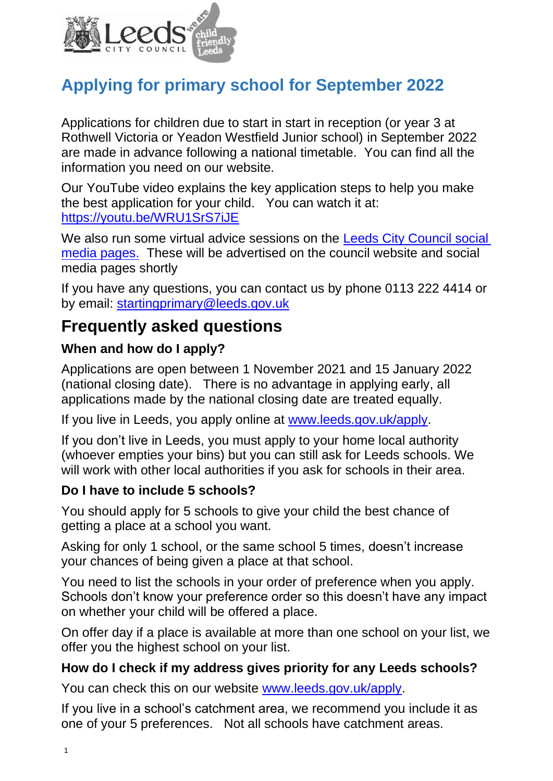

# **Applying for primary school for September 2022**

Applications for children due to start in start in reception (or year 3 at Rothwell Victoria or Yeadon Westfield Junior school) in September 2022 are made in advance following a national timetable. You can find all the information you need on our website.

Our YouTube video explains the key application steps to help you make the best application for your child. You can watch it at: <https://youtu.be/WRU1SrS7iJE>

We also run some virtual advice sessions on the Leeds City Council social [media pages.](https://www.facebook.com/Leedscouncil/) These will be advertised on the council website and social media pages shortly

If you have any questions, you can contact us by phone 0113 222 4414 or by email: [startingprimary@leeds.gov.uk](mailto:startingprimary@leeds.gov.uk)

## **Frequently asked questions**

## **When and how do I apply?**

Applications are open between 1 November 2021 and 15 January 2022 (national closing date). There is no advantage in applying early, all applications made by the national closing date are treated equally.

If you live in Leeds, you apply online at [www.leeds.gov.uk/apply.](http://www.leeds.gov.uk/apply)

If you don't live in Leeds, you must apply to your home local authority (whoever empties your bins) but you can still ask for Leeds schools. We will work with other local authorities if you ask for schools in their area.

## **Do I have to include 5 schools?**

You should apply for 5 schools to give your child the best chance of getting a place at a school you want.

Asking for only 1 school, or the same school 5 times, doesn't increase your chances of being given a place at that school.

You need to list the schools in your order of preference when you apply. Schools don't know your preference order so this doesn't have any impact on whether your child will be offered a place.

On offer day if a place is available at more than one school on your list, we offer you the highest school on your list.

## **How do I check if my address gives priority for any Leeds schools?**

You can check this on our website [www.leeds.gov.uk/apply.](http://www.leeds.gov.uk/apply)

If you live in a school's catchment area, we recommend you include it as one of your 5 preferences. Not all schools have catchment areas.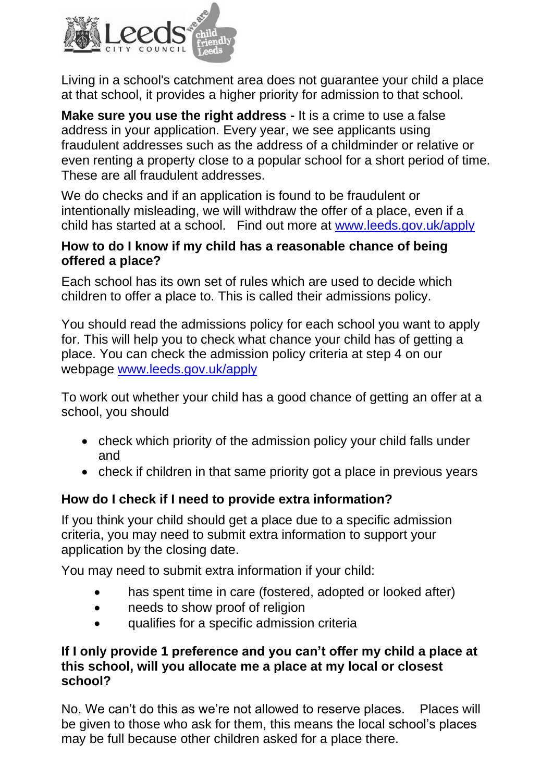

Living in a school's catchment area does not guarantee your child a place at that school, it provides a higher priority for admission to that school.

**Make sure you use the right address -** It is a crime to use a false address in your application. Every year, we see applicants using fraudulent addresses such as the address of a childminder or relative or even renting a property close to a popular school for a short period of time. These are all fraudulent addresses.

We do checks and if an application is found to be fraudulent or intentionally misleading, we will withdraw the offer of a place, even if a child has started at a school. Find out more at [www.leeds.gov.uk/apply](http://www.leeds.gov.uk/apply)

#### **How to do I know if my child has a reasonable chance of being offered a place?**

Each school has its own set of rules which are used to decide which children to offer a place to. This is called their admissions policy.

You should read the admissions policy for each school you want to apply for. This will help you to check what chance your child has of getting a place. You can check the admission policy criteria at step 4 on our webpage [www.leeds.gov.uk/apply](http://www.leeds.gov.uk/apply) 

To work out whether your child has a good chance of getting an offer at a school, you should

- check which priority of the admission policy your child falls under and
- check if children in that same priority got a place in previous years

## **How do I check if I need to provide extra information?**

If you think your child should get a place due to a specific admission criteria, you may need to submit extra information to support your application by the closing date.

You may need to submit extra information if your child:

- has spent time in care (fostered, adopted or looked after)
- needs to show proof of religion
- qualifies for a specific admission criteria

## **If I only provide 1 preference and you can't offer my child a place at this school, will you allocate me a place at my local or closest school?**

No. We can't do this as we're not allowed to reserve places. Places will be given to those who ask for them, this means the local school's places may be full because other children asked for a place there.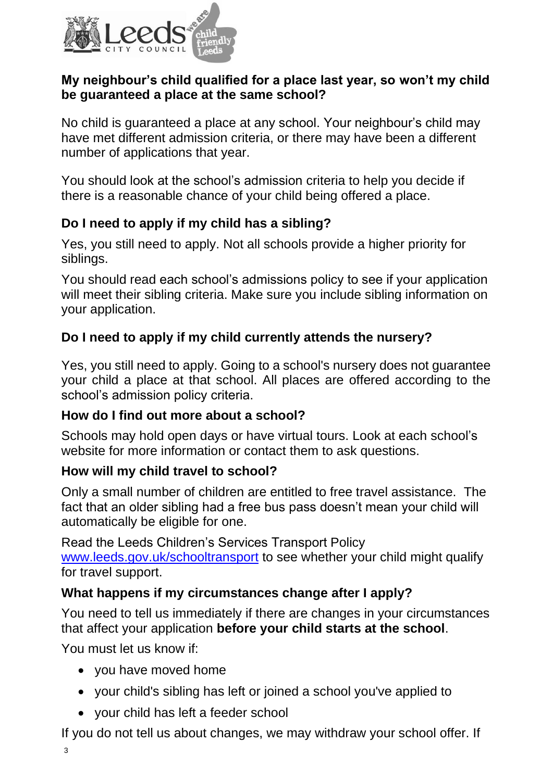

## **My neighbour's child qualified for a place last year, so won't my child be guaranteed a place at the same school?**

No child is guaranteed a place at any school. Your neighbour's child may have met different admission criteria, or there may have been a different number of applications that year.

You should look at the school's admission criteria to help you decide if there is a reasonable chance of your child being offered a place.

## **Do I need to apply if my child has a sibling?**

Yes, you still need to apply. Not all schools provide a higher priority for siblings.

You should read each school's admissions policy to see if your application will meet their sibling criteria. Make sure you include sibling information on your application.

## **Do I need to apply if my child currently attends the nursery?**

Yes, you still need to apply. Going to a school's nursery does not guarantee your child a place at that school. All places are offered according to the school's admission policy criteria.

## **How do I find out more about a school?**

Schools may hold open days or have virtual tours. Look at each school's website for more information or contact them to ask questions.

## **How will my child travel to school?**

Only a small number of children are entitled to free travel assistance. The fact that an older sibling had a free bus pass doesn't mean your child will automatically be eligible for one.

Read the Leeds Children's Services Transport Policy [www.leeds.gov.uk/schooltransport](http://www.leeds.gov.uk/schooltransport) to see whether your child might qualify for travel support.

## **What happens if my circumstances change after I apply?**

You need to tell us immediately if there are changes in your circumstances that affect your application **before your child starts at the school**.

You must let us know if:

- you have moved home
- your child's sibling has left or joined a school you've applied to
- your child has left a feeder school

If you do not tell us about changes, we may withdraw your school offer. If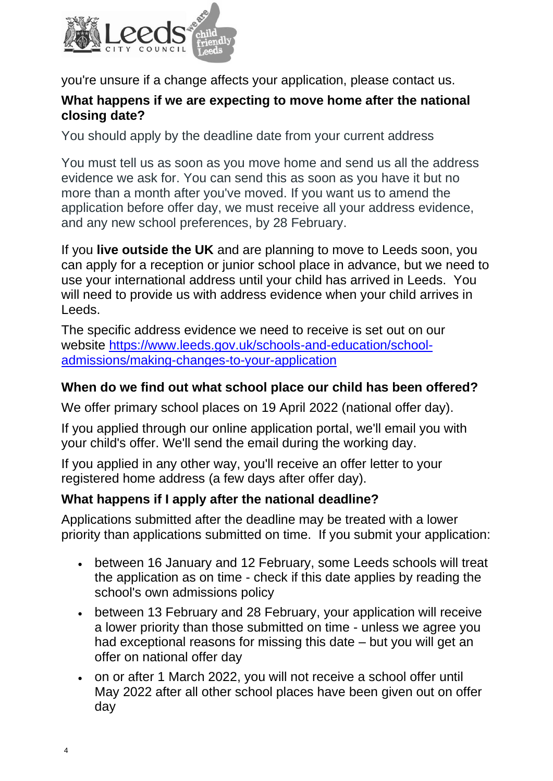

you're unsure if a change affects your application, please contact us.

#### **What happens if we are expecting to move home after the national closing date?**

You should apply by the deadline date from your current address

You must tell us as soon as you move home and send us all the address evidence we ask for. You can send this as soon as you have it but no more than a month after you've moved. If you want us to amend the application before offer day, we must receive all your address evidence, and any new school preferences, by 28 February.

If you **live outside the UK** and are planning to move to Leeds soon, you can apply for a reception or junior school place in advance, but we need to use your international address until your child has arrived in Leeds. You will need to provide us with address evidence when your child arrives in Leeds.

The specific address evidence we need to receive is set out on our website [https://www.leeds.gov.uk/schools-and-education/school](https://www.leeds.gov.uk/schools-and-education/school-admissions/making-changes-to-your-application)[admissions/making-changes-to-your-application](https://www.leeds.gov.uk/schools-and-education/school-admissions/making-changes-to-your-application) 

## **When do we find out what school place our child has been offered?**

We offer primary school places on 19 April 2022 (national offer day).

If you applied through our online application portal, we'll email you with your child's offer. We'll send the email during the working day.

If you applied in any other way, you'll receive an offer letter to your registered home address (a few days after offer day).

## **What happens if I apply after the national deadline?**

Applications submitted after the deadline may be treated with a lower priority than applications submitted on time. If you submit your application:

- between 16 January and 12 February, some Leeds schools will treat the application as on time - check if this date applies by reading the school's own admissions policy
- between 13 February and 28 February, your application will receive a lower priority than those submitted on time - unless we agree you had exceptional reasons for missing this date – but you will get an offer on national offer day
- on or after 1 March 2022, you will not receive a school offer until May 2022 after all other school places have been given out on offer day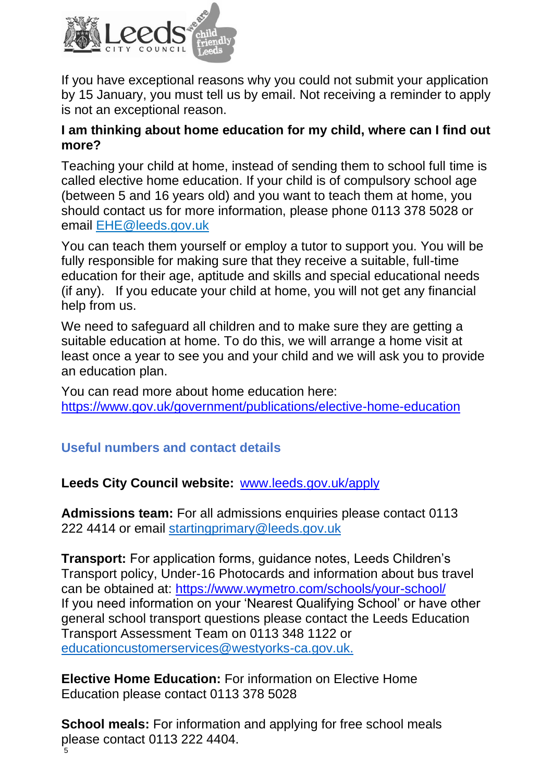

If you have exceptional reasons why you could not submit your application by 15 January, you must tell us by email. Not receiving a reminder to apply is not an exceptional reason.

#### **I am thinking about home education for my child, where can I find out more?**

Teaching your child at home, instead of sending them to school full time is called elective home education. If your child is of compulsory school age (between 5 and 16 years old) and you want to teach them at home, you should contact us for more information, please phone 0113 378 5028 or email [EHE@leeds.gov.uk](mailto:EHE@leeds.gov.uk)

You can teach them yourself or employ a tutor to support you. You will be fully responsible for making sure that they receive a suitable, full-time education for their age, aptitude and skills and special educational needs (if any). If you educate your child at home, you will not get any financial help from us.

We need to safeguard all children and to make sure they are getting a suitable education at home. To do this, we will arrange a home visit at least once a year to see you and your child and we will ask you to provide an education plan.

You can read more about home education here: <https://www.gov.uk/government/publications/elective-home-education>

## **Useful numbers and contact details**

**Leeds City Council website:** [www.leeds.gov.uk/apply](http://www.leeds.gov.uk/apply)

**Admissions team:** For all admissions enquiries please contact 0113 222 4414 or email startingprimary@leeds.gov.uk

**Transport:** For application forms, guidance notes, Leeds Children's Transport policy, Under-16 Photocards and information about bus travel can be obtained at: [https://www.wymetro.com/schools/your-school/](https://www.wymetro.com/schools/your-school/I) If you need information on your 'Nearest Qualifying School' or have other general school transport questions please contact the Leeds Education Transport Assessment Team on 0113 348 1122 or [educationcustomerservices@westyorks-ca.gov.uk.](mailto:educationcustomerservices@westyorks-ca.gov.uk)

**Elective Home Education:** For information on Elective Home Education please contact 0113 378 5028

5 **School meals:** For information and applying for free school meals please contact 0113 222 4404.